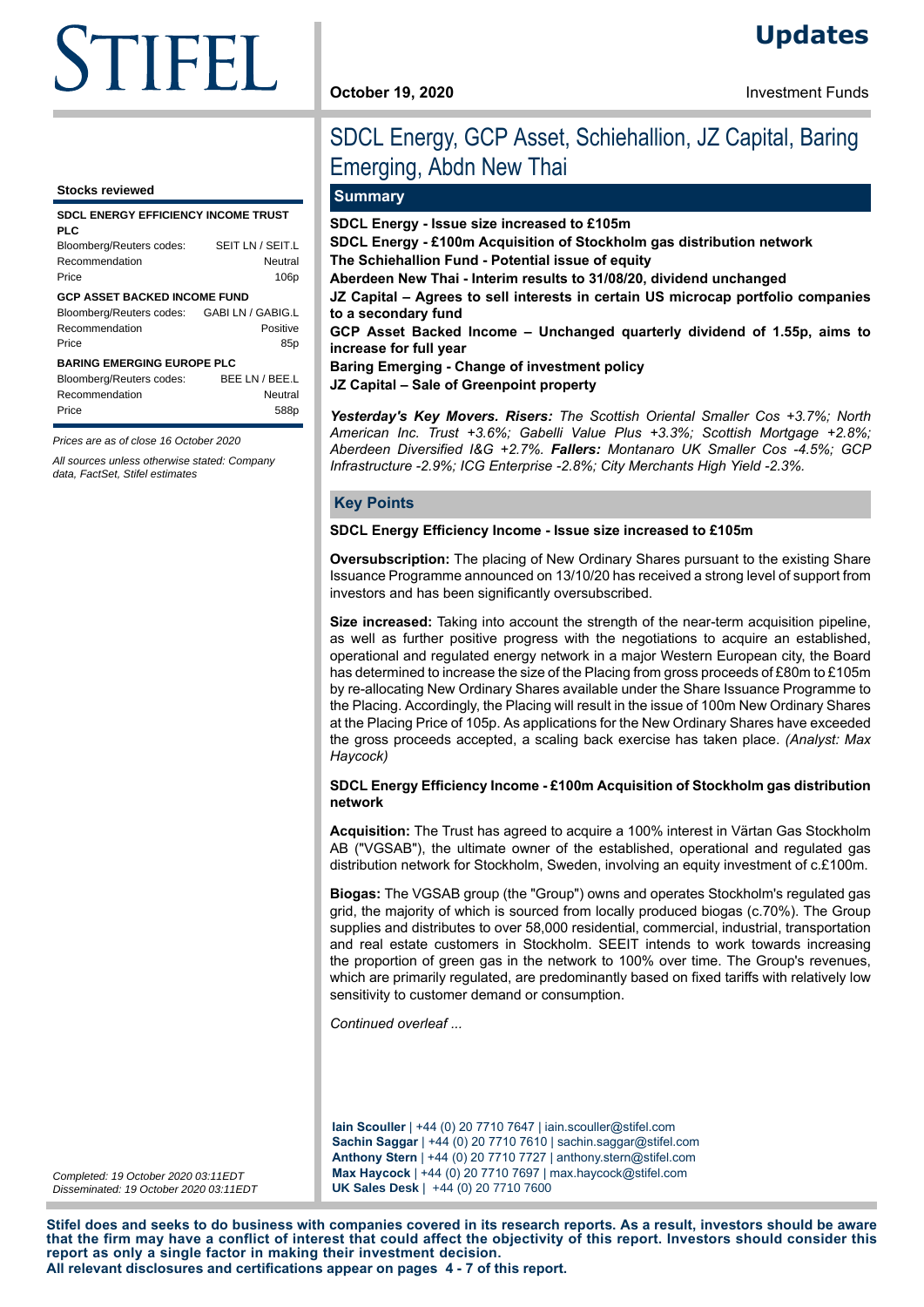# STIFEL  $\mathbf{r}$

#### **Stocks reviewed**

| <b>SDCL ENERGY EFFICIENCY INCOME TRUST</b><br>PLC                                                            |                                                 |
|--------------------------------------------------------------------------------------------------------------|-------------------------------------------------|
| Bloomberg/Reuters codes:<br>Recommendation<br>Price                                                          | SEIT LN / SEIT.L<br>Neutral<br>106 <sub>p</sub> |
| <b>GCP ASSET BACKED INCOME FUND</b><br>Bloomberg/Reuters codes: GABI LN / GABIG.L<br>Recommendation<br>Price | Positive<br>85p                                 |
| <b>BARING EMERGING EUROPE PLC</b>                                                                            |                                                 |
| Bloomberg/Reuters codes:<br>Recommendation<br>Price                                                          | BEE LN / BEE.L<br>Neutral<br>588p               |

Prices are as of close 16 October 2020

All sources unless otherwise stated: Company data, FactSet, Stifel estimates

# SDCL Energy, GCP Asset, Schiehallion, JZ Capital, Baring Emerging, Abdn New Thai

# **Summary**

**SDCL Energy - Issue size increased to £105m**

**SDCL Energy - £100m Acquisition of Stockholm gas distribution network The Schiehallion Fund - Potential issue of equity**

**Aberdeen New Thai - Interim results to 31/08/20, dividend unchanged**

**JZ Capital – Agrees to sell interests in certain US microcap portfolio companies to a secondary fund**

**GCP Asset Backed Income – Unchanged quarterly dividend of 1.55p, aims to increase for full year**

**Baring Emerging - Change of investment policy**

**JZ Capital – Sale of Greenpoint property**

*Yesterday's Key Movers. Risers: The Scottish Oriental Smaller Cos +3.7%; North American Inc. Trust +3.6%; Gabelli Value Plus +3.3%; Scottish Mortgage +2.8%; Aberdeen Diversified I&G +2.7%. Fallers: Montanaro UK Smaller Cos -4.5%; GCP Infrastructure -2.9%; ICG Enterprise -2.8%; City Merchants High Yield -2.3%.*

#### **Key Points**

#### **SDCL Energy Efficiency Income - Issue size increased to £105m**

**Oversubscription:** The placing of New Ordinary Shares pursuant to the existing Share Issuance Programme announced on 13/10/20 has received a strong level of support from investors and has been significantly oversubscribed.

**Size increased:** Taking into account the strength of the near-term acquisition pipeline, as well as further positive progress with the negotiations to acquire an established, operational and regulated energy network in a major Western European city, the Board has determined to increase the size of the Placing from gross proceeds of £80m to £105m by re-allocating New Ordinary Shares available under the Share Issuance Programme to the Placing. Accordingly, the Placing will result in the issue of 100m New Ordinary Shares at the Placing Price of 105p. As applications for the New Ordinary Shares have exceeded the gross proceeds accepted, a scaling back exercise has taken place. *(Analyst: Max Haycock)*

#### **SDCL Energy Efficiency Income - £100m Acquisition of Stockholm gas distribution network**

**Acquisition:** The Trust has agreed to acquire a 100% interest in Värtan Gas Stockholm AB ("VGSAB"), the ultimate owner of the established, operational and regulated gas distribution network for Stockholm, Sweden, involving an equity investment of c.£100m.

**Biogas:** The VGSAB group (the "Group") owns and operates Stockholm's regulated gas grid, the majority of which is sourced from locally produced biogas (c.70%). The Group supplies and distributes to over 58,000 residential, commercial, industrial, transportation and real estate customers in Stockholm. SEEIT intends to work towards increasing the proportion of green gas in the network to 100% over time. The Group's revenues, which are primarily regulated, are predominantly based on fixed tariffs with relatively low sensitivity to customer demand or consumption.

*Continued overleaf ...*

**Iain Scouller** | +44 (0) 20 7710 7647 | iain.scouller@stifel.com **Sachin Saggar** | +44 (0) 20 7710 7610 | sachin.saggar@stifel.com **Anthony Stern** | +44 (0) 20 7710 7727 | anthony.stern@stifel.com **Max Haycock** | +44 (0) 20 7710 7697 | max.haycock@stifel.com **UK Sales Desk** | +44 (0) 20 7710 7600

Completed: 19 October 2020 03:11EDT Disseminated: 19 October 2020 03:11EDT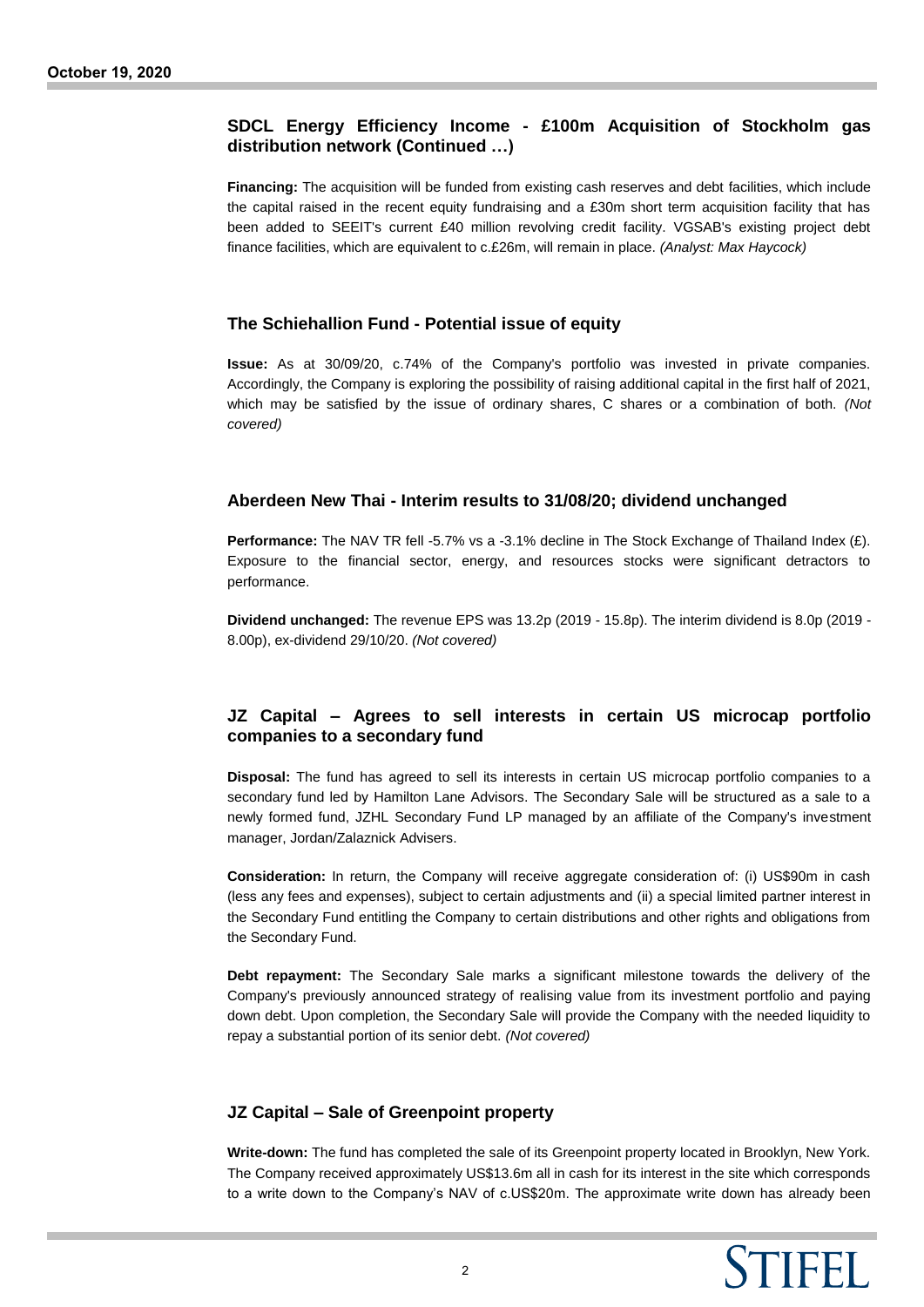# **SDCL Energy Efficiency Income - £100m Acquisition of Stockholm gas distribution network (Continued …)**

**Financing:** The acquisition will be funded from existing cash reserves and debt facilities, which include the capital raised in the recent equity fundraising and a £30m short term acquisition facility that has been added to SEEIT's current £40 million revolving credit facility. VGSAB's existing project debt finance facilities, which are equivalent to c.£26m, will remain in place. *(Analyst: Max Haycock)*

# **The Schiehallion Fund - Potential issue of equity**

**Issue:** As at 30/09/20, c.74% of the Company's portfolio was invested in private companies. Accordingly, the Company is exploring the possibility of raising additional capital in the first half of 2021, which may be satisfied by the issue of ordinary shares, C shares or a combination of both. *(Not covered)*

# **Aberdeen New Thai - Interim results to 31/08/20; dividend unchanged**

**Performance:** The NAV TR fell -5.7% vs a -3.1% decline in The Stock Exchange of Thailand Index (£). Exposure to the financial sector, energy, and resources stocks were significant detractors to performance.

**Dividend unchanged:** The revenue EPS was 13.2p (2019 - 15.8p). The interim dividend is 8.0p (2019 - 8.00p), ex-dividend 29/10/20. *(Not covered)*

# **JZ Capital – Agrees to sell interests in certain US microcap portfolio companies to a secondary fund**

**Disposal:** The fund has agreed to sell its interests in certain US microcap portfolio companies to a secondary fund led by Hamilton Lane Advisors. The Secondary Sale will be structured as a sale to a newly formed fund, JZHL Secondary Fund LP managed by an affiliate of the Company's investment manager, Jordan/Zalaznick Advisers.

**Consideration:** In return, the Company will receive aggregate consideration of: (i) US\$90m in cash (less any fees and expenses), subject to certain adjustments and (ii) a special limited partner interest in the Secondary Fund entitling the Company to certain distributions and other rights and obligations from the Secondary Fund.

**Debt repayment:** The Secondary Sale marks a significant milestone towards the delivery of the Company's previously announced strategy of realising value from its investment portfolio and paying down debt. Upon completion, the Secondary Sale will provide the Company with the needed liquidity to repay a substantial portion of its senior debt. *(Not covered)*

# **JZ Capital – Sale of Greenpoint property**

**Write-down:** The fund has completed the sale of its Greenpoint property located in Brooklyn, New York. The Company received approximately US\$13.6m all in cash for its interest in the site which corresponds to a write down to the Company's NAV of c.US\$20m. The approximate write down has already been

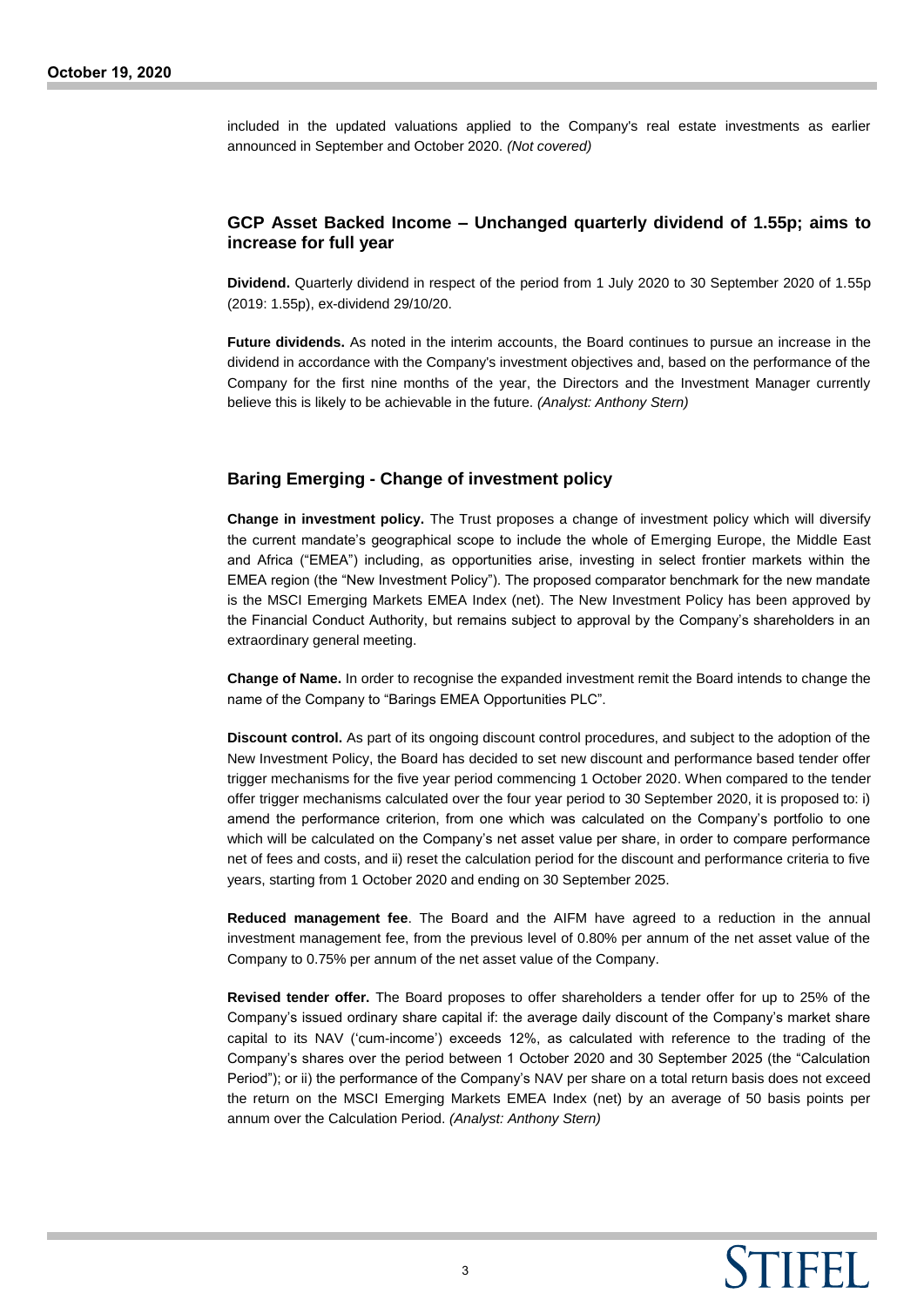included in the updated valuations applied to the Company's real estate investments as earlier announced in September and October 2020. *(Not covered)*

# **GCP Asset Backed Income – Unchanged quarterly dividend of 1.55p; aims to increase for full year**

**Dividend.** Quarterly dividend in respect of the period from 1 July 2020 to 30 September 2020 of 1.55p (2019: 1.55p), ex-dividend 29/10/20.

**Future dividends.** As noted in the interim accounts, the Board continues to pursue an increase in the dividend in accordance with the Company's investment objectives and, based on the performance of the Company for the first nine months of the year, the Directors and the Investment Manager currently believe this is likely to be achievable in the future. *(Analyst: Anthony Stern)*

# **Baring Emerging - Change of investment policy**

**Change in investment policy.** The Trust proposes a change of investment policy which will diversify the current mandate's geographical scope to include the whole of Emerging Europe, the Middle East and Africa ("EMEA") including, as opportunities arise, investing in select frontier markets within the EMEA region (the "New Investment Policy"). The proposed comparator benchmark for the new mandate is the MSCI Emerging Markets EMEA Index (net). The New Investment Policy has been approved by the Financial Conduct Authority, but remains subject to approval by the Company's shareholders in an extraordinary general meeting.

**Change of Name.** In order to recognise the expanded investment remit the Board intends to change the name of the Company to "Barings EMEA Opportunities PLC".

**Discount control.** As part of its ongoing discount control procedures, and subject to the adoption of the New Investment Policy, the Board has decided to set new discount and performance based tender offer trigger mechanisms for the five year period commencing 1 October 2020. When compared to the tender offer trigger mechanisms calculated over the four year period to 30 September 2020, it is proposed to: i) amend the performance criterion, from one which was calculated on the Company's portfolio to one which will be calculated on the Company's net asset value per share, in order to compare performance net of fees and costs, and ii) reset the calculation period for the discount and performance criteria to five years, starting from 1 October 2020 and ending on 30 September 2025.

**Reduced management fee**. The Board and the AIFM have agreed to a reduction in the annual investment management fee, from the previous level of 0.80% per annum of the net asset value of the Company to 0.75% per annum of the net asset value of the Company.

**Revised tender offer.** The Board proposes to offer shareholders a tender offer for up to 25% of the Company's issued ordinary share capital if: the average daily discount of the Company's market share capital to its NAV ('cum-income') exceeds 12%, as calculated with reference to the trading of the Company's shares over the period between 1 October 2020 and 30 September 2025 (the "Calculation Period"); or ii) the performance of the Company's NAV per share on a total return basis does not exceed the return on the MSCI Emerging Markets EMEA Index (net) by an average of 50 basis points per annum over the Calculation Period. *(Analyst: Anthony Stern)*

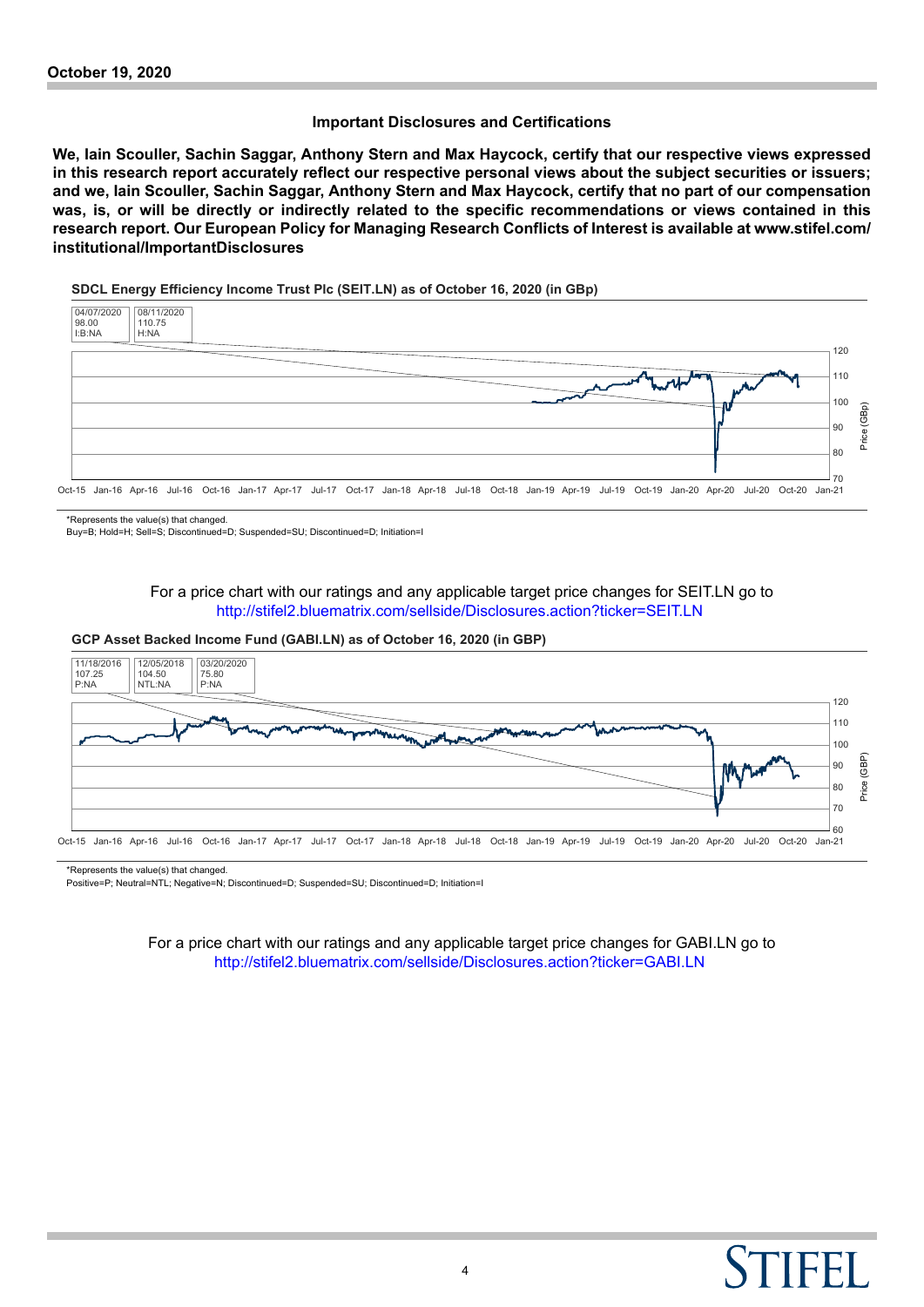## **Important Disclosures and Certifications**

**We, Iain Scouller, Sachin Saggar, Anthony Stern and Max Haycock, certify that our respective views expressed in this research report accurately reflect our respective personal views about the subject securities or issuers; and we, Iain Scouller, Sachin Saggar, Anthony Stern and Max Haycock, certify that no part of our compensation was, is, or will be directly or indirectly related to the specific recommendations or views contained in this research report. Our European Policy for Managing Research Conflicts of Interest is available at www.stifel.com/ institutional/ImportantDisclosures**

#### **SDCL Energy Efficiency Income Trust Plc (SEIT.LN) as of October 16, 2020 (in GBp)**



\*Represents the value(s) that changed.

Buy=B; Hold=H; Sell=S; Discontinued=D; Suspended=SU; Discontinued=D; Initiation=I

For a price chart with our ratings and any applicable target price changes for SEIT.LN go to <http://stifel2.bluematrix.com/sellside/Disclosures.action?ticker=SEIT.LN>

#### **GCP Asset Backed Income Fund (GABI.LN) as of October 16, 2020 (in GBP)**



\*Represents the value(s) that changed.

Positive=P; Neutral=NTL; Negative=N; Discontinued=D; Suspended=SU; Discontinued=D; Initiation=I

For a price chart with our ratings and any applicable target price changes for GABI.LN go to <http://stifel2.bluematrix.com/sellside/Disclosures.action?ticker=GABI.LN>

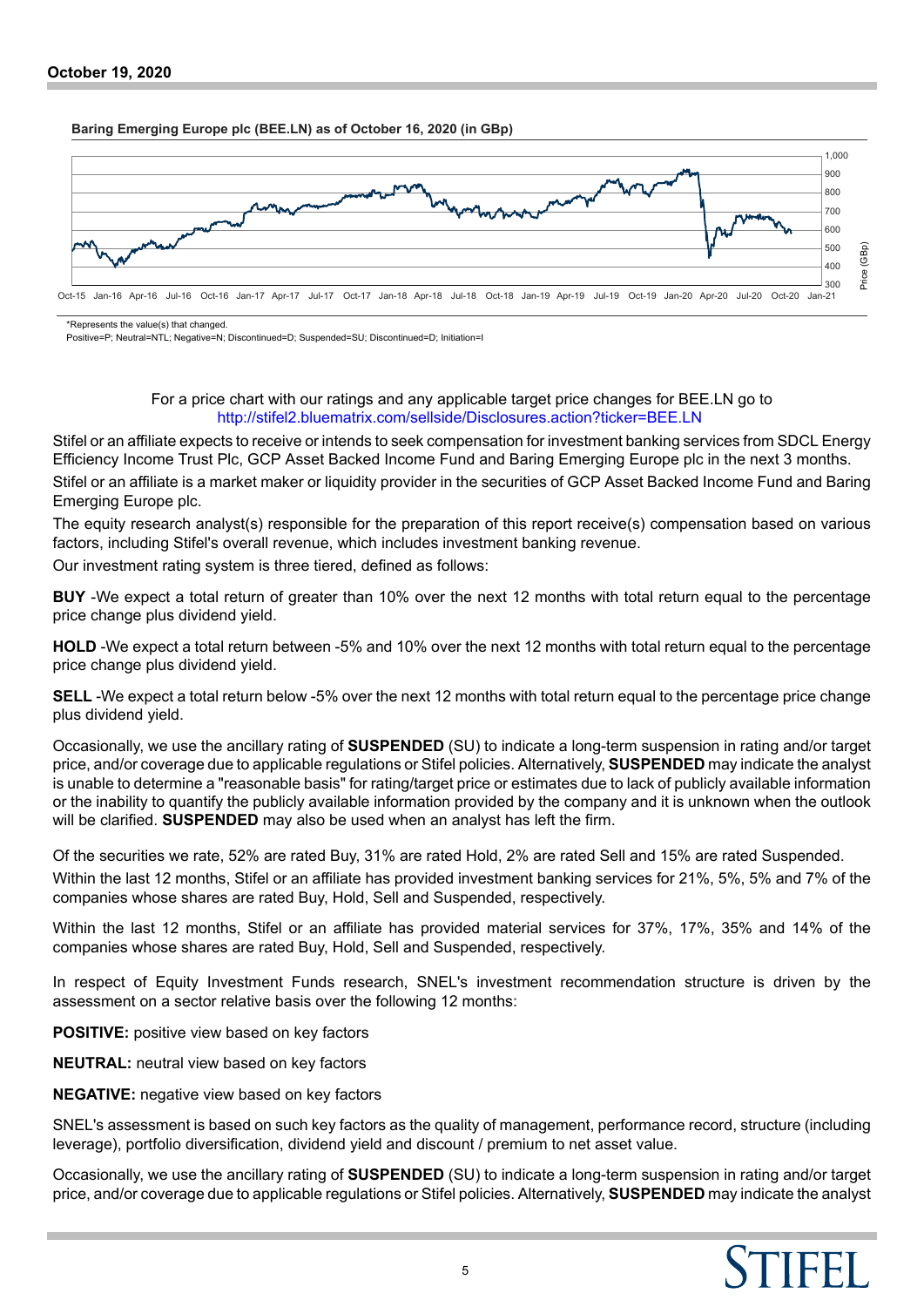#### **Baring Emerging Europe plc (BEE.LN) as of October 16, 2020 (in GBp)**



\*Represents the value(s) that changed.

Positive=P; Neutral=NTL; Negative=N; Discontinued=D; Suspended=SU; Discontinued=D; Initiation=I

## For a price chart with our ratings and any applicable target price changes for BEE.LN go to <http://stifel2.bluematrix.com/sellside/Disclosures.action?ticker=BEE.LN>

Stifel or an affiliate expects to receive or intends to seek compensation for investment banking services from SDCL Energy Efficiency Income Trust Plc, GCP Asset Backed Income Fund and Baring Emerging Europe plc in the next 3 months.

Stifel or an affiliate is a market maker or liquidity provider in the securities of GCP Asset Backed Income Fund and Baring Emerging Europe plc.

The equity research analyst(s) responsible for the preparation of this report receive(s) compensation based on various factors, including Stifel's overall revenue, which includes investment banking revenue.

Our investment rating system is three tiered, defined as follows:

**BUY** -We expect a total return of greater than 10% over the next 12 months with total return equal to the percentage price change plus dividend yield.

**HOLD** -We expect a total return between -5% and 10% over the next 12 months with total return equal to the percentage price change plus dividend yield.

**SELL** -We expect a total return below -5% over the next 12 months with total return equal to the percentage price change plus dividend yield.

Occasionally, we use the ancillary rating of **SUSPENDED** (SU) to indicate a long-term suspension in rating and/or target price, and/or coverage due to applicable regulations or Stifel policies. Alternatively, **SUSPENDED** may indicate the analyst is unable to determine a "reasonable basis" for rating/target price or estimates due to lack of publicly available information or the inability to quantify the publicly available information provided by the company and it is unknown when the outlook will be clarified. **SUSPENDED** may also be used when an analyst has left the firm.

Of the securities we rate, 52% are rated Buy, 31% are rated Hold, 2% are rated Sell and 15% are rated Suspended.

Within the last 12 months, Stifel or an affiliate has provided investment banking services for 21%, 5%, 5% and 7% of the companies whose shares are rated Buy, Hold, Sell and Suspended, respectively.

Within the last 12 months, Stifel or an affiliate has provided material services for 37%, 17%, 35% and 14% of the companies whose shares are rated Buy, Hold, Sell and Suspended, respectively.

In respect of Equity Investment Funds research, SNEL's investment recommendation structure is driven by the assessment on a sector relative basis over the following 12 months:

**POSITIVE:** positive view based on key factors

**NEUTRAL:** neutral view based on key factors

**NEGATIVE:** negative view based on key factors

SNEL's assessment is based on such key factors as the quality of management, performance record, structure (including leverage), portfolio diversification, dividend yield and discount / premium to net asset value.

Occasionally, we use the ancillary rating of **SUSPENDED** (SU) to indicate a long-term suspension in rating and/or target price, and/or coverage due to applicable regulations or Stifel policies. Alternatively, **SUSPENDED** may indicate the analyst

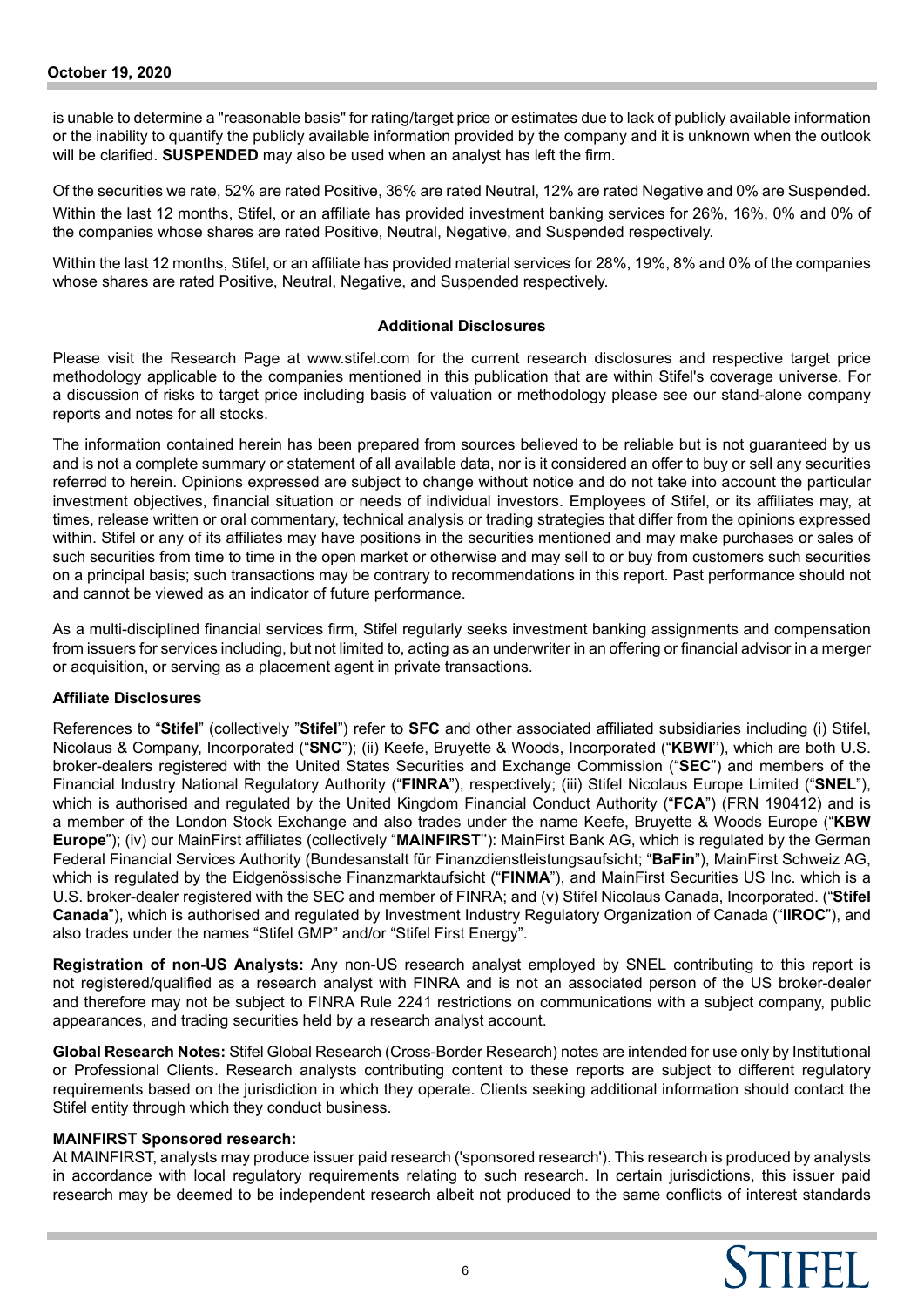is unable to determine a "reasonable basis" for rating/target price or estimates due to lack of publicly available information or the inability to quantify the publicly available information provided by the company and it is unknown when the outlook will be clarified. **SUSPENDED** may also be used when an analyst has left the firm.

Of the securities we rate, 52% are rated Positive, 36% are rated Neutral, 12% are rated Negative and 0% are Suspended. Within the last 12 months, Stifel, or an affiliate has provided investment banking services for 26%, 16%, 0% and 0% of the companies whose shares are rated Positive, Neutral, Negative, and Suspended respectively.

Within the last 12 months, Stifel, or an affiliate has provided material services for 28%, 19%, 8% and 0% of the companies whose shares are rated Positive, Neutral, Negative, and Suspended respectively.

## **Additional Disclosures**

Please visit the Research Page at www.stifel.com for the current research disclosures and respective target price methodology applicable to the companies mentioned in this publication that are within Stifel's coverage universe. For a discussion of risks to target price including basis of valuation or methodology please see our stand-alone company reports and notes for all stocks.

The information contained herein has been prepared from sources believed to be reliable but is not guaranteed by us and is not a complete summary or statement of all available data, nor is it considered an offer to buy or sell any securities referred to herein. Opinions expressed are subject to change without notice and do not take into account the particular investment objectives, financial situation or needs of individual investors. Employees of Stifel, or its affiliates may, at times, release written or oral commentary, technical analysis or trading strategies that differ from the opinions expressed within. Stifel or any of its affiliates may have positions in the securities mentioned and may make purchases or sales of such securities from time to time in the open market or otherwise and may sell to or buy from customers such securities on a principal basis; such transactions may be contrary to recommendations in this report. Past performance should not and cannot be viewed as an indicator of future performance.

As a multi-disciplined financial services firm, Stifel regularly seeks investment banking assignments and compensation from issuers for services including, but not limited to, acting as an underwriter in an offering or financial advisor in a merger or acquisition, or serving as a placement agent in private transactions.

# **Affiliate Disclosures**

References to "**Stifel**" (collectively "**Stifel**") refer to **SFC** and other associated affiliated subsidiaries including (i) Stifel, Nicolaus & Company, Incorporated ("**SNC**"); (ii) Keefe, Bruyette & Woods, Incorporated ("**KBWI**''), which are both U.S. broker-dealers registered with the United States Securities and Exchange Commission ("**SEC**") and members of the Financial Industry National Regulatory Authority ("**FINRA**"), respectively; (iii) Stifel Nicolaus Europe Limited ("**SNEL**"), which is authorised and regulated by the United Kingdom Financial Conduct Authority ("**FCA**") (FRN 190412) and is a member of the London Stock Exchange and also trades under the name Keefe, Bruyette & Woods Europe ("**KBW Europe**"); (iv) our MainFirst affiliates (collectively "**MAINFIRST**''): MainFirst Bank AG, which is regulated by the German Federal Financial Services Authority (Bundesanstalt für Finanzdienstleistungsaufsicht; "**BaFin**"), MainFirst Schweiz AG, which is regulated by the Eidgenössische Finanzmarktaufsicht ("**FINMA**"), and MainFirst Securities US Inc. which is a U.S. broker-dealer registered with the SEC and member of FINRA; and (v) Stifel Nicolaus Canada, Incorporated. ("**Stifel Canada**"), which is authorised and regulated by Investment Industry Regulatory Organization of Canada ("**IIROC**"), and also trades under the names "Stifel GMP" and/or "Stifel First Energy".

**Registration of non-US Analysts:** Any non-US research analyst employed by SNEL contributing to this report is not registered/qualified as a research analyst with FINRA and is not an associated person of the US broker-dealer and therefore may not be subject to FINRA Rule 2241 restrictions on communications with a subject company, public appearances, and trading securities held by a research analyst account.

**Global Research Notes:** Stifel Global Research (Cross-Border Research) notes are intended for use only by Institutional or Professional Clients. Research analysts contributing content to these reports are subject to different regulatory requirements based on the jurisdiction in which they operate. Clients seeking additional information should contact the Stifel entity through which they conduct business.

#### **MAINFIRST Sponsored research:**

At MAINFIRST, analysts may produce issuer paid research ('sponsored research'). This research is produced by analysts in accordance with local regulatory requirements relating to such research. In certain jurisdictions, this issuer paid research may be deemed to be independent research albeit not produced to the same conflicts of interest standards